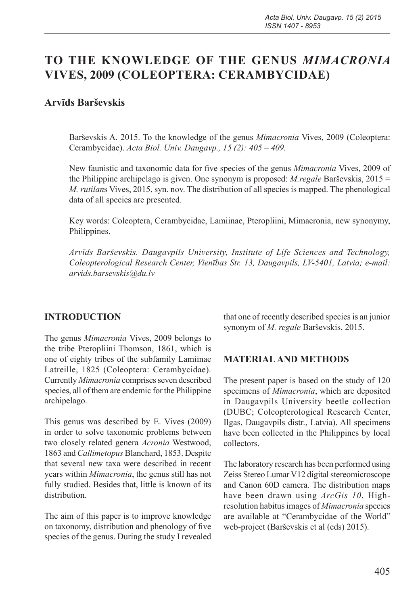# **TO THE KNOWLEDGE OF THE GENUS** *MIMACRONIA*  **VIVES, 2009 (COLEOPTERA: CERAMBYCIDAE)**

### **Arvīds Barševskis**

Barševskis A. 2015. To the knowledge of the genus *Mimacronia* Vives, 2009 (Coleoptera: Cerambycidae). *Acta Biol. Univ. Daugavp., 15 (2): 405 – 409.*

New faunistic and taxonomic data for five species of the genus *Mimacronia* Vives, 2009 of the Philippine archipelago is given. One synonym is proposed: *M.regale* Barševskis, 2015 = *M. rutilan*s Vives, 2015, syn. nov. The distribution of all species is mapped. The phenological data of all species are presented.

Key words: Coleoptera, Cerambycidae, Lamiinae, Pteropliini, Mimacronia, new synonymy, Philippines.

*Arvīds Barševskis. Daugavpils University, Institute of Life Sciences and Technology, Coleopterological Research Center, Vienības Str. 13, Daugavpils, LV-5401, Latvia; e-mail: arvids.barsevskis@du.lv*

#### **INTRODUCTION**

The genus *Mimacronia* Vives, 2009 belongs to the tribe Pteropliini Thomson, 1861, which is one of eighty tribes of the subfamily Lamiinae Latreille, 1825 (Coleoptera: Cerambycidae). Currently *Mimacronia* comprises seven described species, all of them are endemic for the Philippine archipelago.

This genus was described by E. Vives (2009) in order to solve taxonomic problems between two closely related genera *Acronia* Westwood, 1863 and *Callimetopus* Blanchard, 1853. Despite that several new taxa were described in recent years within *Mimacronia*, the genus still has not fully studied. Besides that, little is known of its distribution.

The aim of this paper is to improve knowledge on taxonomy, distribution and phenology of five species of the genus. During the study I revealed that one of recently described species is an junior synonym of *M. regale* Barševskis, 2015.

#### **MATERIAL AND METHODS**

The present paper is based on the study of 120 specimens of *Mimacronia*, which are deposited in Daugavpils University beetle collection (DUBC; Coleopterological Research Center, Ilgas, Daugavpils distr., Latvia). All specimens have been collected in the Philippines by local collectors.

The laboratory research has been performed using Zeiss Stereo Lumar V12 digital stereomicroscope and Canon 60D camera. The distribution maps have been drawn using *ArcGis 10*. Highresolution habitus images of *Mimacronia* species are available at "Cerambycidae of the World" web-project (Barševskis et al (eds) 2015).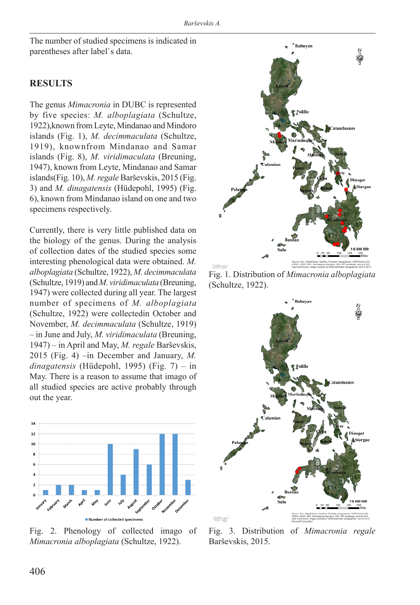The number of studied specimens is indicated in parentheses after label`s data.

### **RESULTS**

The genus *Mimacronia* in DUBC is represented by five species: *M. alboplagiata* (Schultze, 1922),known from Leyte, Mindanao and Mindoro islands (Fig. 1), *M. decimmaculata* (Schultze, 1919), knownfrom Mindanao and Samar islands (Fig. 8), *M. viridimaculata* (Breuning, 1947), known from Leyte, Mindanao and Samar islands(Fig. 10), *M. regale* Barševskis, 2015 (Fig. 3) and *M. dinagatensis* (Hüdepohl, 1995) (Fig. 6), known from Mindanao island on one and two specimens respectively.

Currently, there is very little published data on the biology of the genus. During the analysis of collection dates of the studied species some interesting phenological data were obtained. *M. alboplagiata* (Schultze, 1922), *M. decimmaculata* (Schultze, 1919) and *M. viridimaculata* (Breuning, 1947) were collected during all year. The largest number of specimens of *M. alboplagiata* (Schultze, 1922) were collectedin October and November, *M. decimmaculata* (Schultze, 1919) – in June and July, *M. viridimaculata* (Breuning, 1947) – in April and May, *M. regale* Barševskis, 2015 (Fig. 4) –in December and January, *M. dinagatensis* (Hüdepohl, 1995) (Fig. 7) – in May. There is a reason to assume that imago of all studied species are active probably through out the year.



Fig. 2. Phenology of collected imago of *Mimacronia alboplagiata* (Schultze, 1922).



Fig. 1. Distribution of *Mimacronia alboplagiata*  (Schultze, 1922).



Fig. 3. Distribution of *Mimacronia regale* Barševskis, 2015.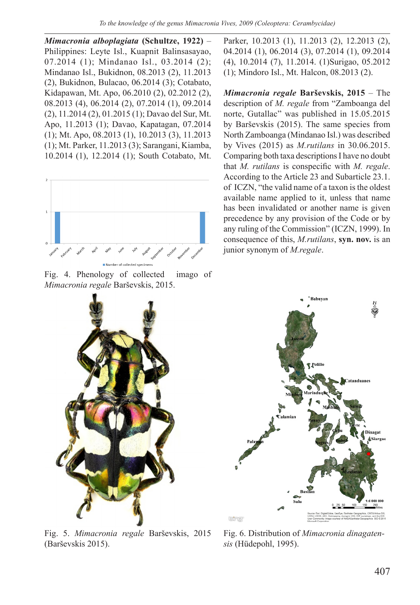*Mimacronia alboplagiata* **(Schultze, 1922)** – Philippines: Leyte Isl., Kuapnit Balinsasayao, 07.2014 (1); Mindanao Isl., 03.2014 (2); Mindanao Isl., Bukidnon, 08.2013 (2), 11.2013 (2), Bukidnon, Bulacao, 06.2014 (3); Cotabato, Kidapawan, Mt. Apo, 06.2010 (2), 02.2012 (2), 08.2013 (4), 06.2014 (2), 07.2014 (1), 09.2014 (2), 11.2014 (2), 01.2015 (1); Davao del Sur, Mt. Apo, 11.2013 (1); Davao, Kapatagan, 07.2014 (1); Mt. Apo, 08.2013 (1), 10.2013 (3), 11.2013 (1); Mt. Parker, 11.2013 (3); Sarangani, Kiamba, 10.2014 (1), 12.2014 (1); South Cotabato, Mt.



Fig. 4. Phenology of collected imago of *Mimacronia regale* Barševskis, 2015.

Parker, 10.2013 (1), 11.2013 (2), 12.2013 (2), 04.2014 (1), 06.2014 (3), 07.2014 (1), 09.2014 (4), 10.2014 (7), 11.2014. (1)Surigao, 05.2012 (1); Mindoro Isl., Mt. Halcon, 08.2013 (2).

*Mimacronia regale* **Barševskis, 2015** – The description of *M. regale* from "Zamboanga del norte, Gutallac" was published in 15.05.2015 by Barševskis (2015). The same species from North Zamboanga (Mindanao Isl.) was described by Vives (2015) as *M.rutilans* in 30.06.2015. Comparing both taxa descriptions I have no doubt that *M. rutilans* is conspecific with *M. regale*. According to the Article 23 and Subarticle 23.1. of ICZN, "the valid name of a taxon is the oldest available name applied to it, unless that name has been invalidated or another name is given precedence by any provision of the Code or by any ruling of the Commission" (ICZN, 1999). In consequence of this, *M.rutilans*, **syn. nov.** is an junior synonym of *M.regale*.



Fig. 5. *Mimacronia regale* Barševskis, 2015 (Barševskis 2015).



Fig. 6. Distribution of *Mimacronia dinagatensis* (Hüdepohl, 1995).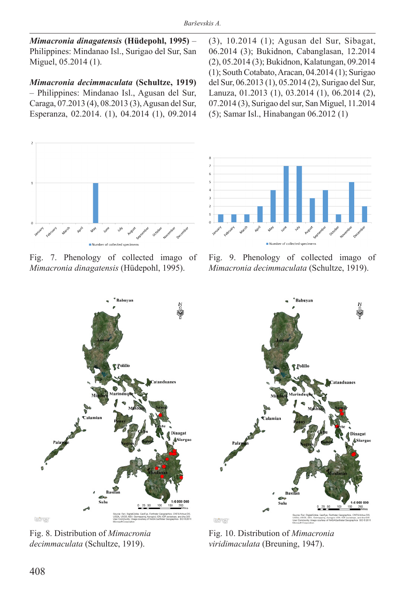*Mimacronia dinagatensis* **(Hüdepohl, 1995)** – Philippines: Mindanao Isl., Surigao del Sur, San Miguel, 05.2014 (1).

*Mimacronia decimmaculata* **(Schultze, 1919)**  – Philippines: Mindanao Isl., Agusan del Sur, Caraga, 07.2013 (4), 08.2013 (3), Agusan del Sur, Esperanza, 02.2014. (1), 04.2014 (1), 09.2014



Fig. 7. Phenology of collected imago of *Mimacronia dinagatensis* (Hüdepohl, 1995).

(3), 10.2014 (1); Agusan del Sur, Sibagat, 06.2014 (3); Bukidnon, Cabanglasan, 12.2014 (2), 05.2014 (3); Bukidnon, Kalatungan, 09.2014 (1); South Cotabato, Aracan, 04.2014 (1); Surigao del Sur, 06.2013 (1), 05.2014 (2), Surigao del Sur, Lanuza, 01.2013 (1), 03.2014 (1), 06.2014 (2), 07.2014 (3), Surigao del sur, San Miguel, 11.2014 (5); Samar Isl., Hinabangan 06.2012 (1)



Fig. 9. Phenology of collected imago of *Mimacronia decimmaculata* (Schultze, 1919).



Fig. 8. Distribution of *Mimacronia decimmaculata* (Schultze, 1919).



Fig. 10. Distribution of *Mimacronia viridimaculata* (Breuning, 1947).